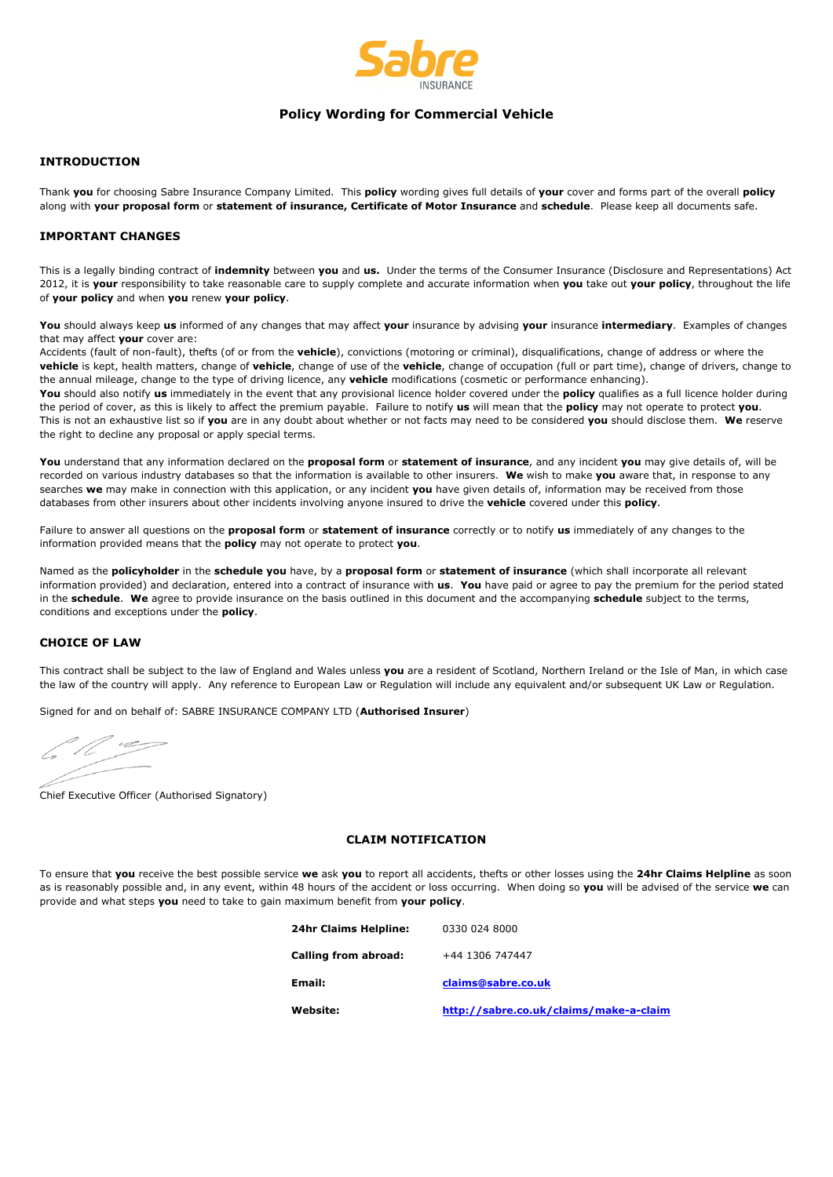

# **Policy Wording for Commercial Vehicle**

# **INTRODUCTION**

Thank **you** for choosing Sabre Insurance Company Limited. This **policy** wording gives full details of **your** cover and forms part of the overall **policy** along with **your proposal form** or **statement of insurance, Certificate of Motor Insurance** and **schedule**. Please keep all documents safe.

## **IMPORTANT CHANGES**

This is a legally binding contract of **indemnity** between **you** and **us.** Under the terms of the Consumer Insurance (Disclosure and Representations) Act 2012, it is **your** responsibility to take reasonable care to supply complete and accurate information when **you** take out **your policy**, throughout the life of **your policy** and when **you** renew **your policy**.

**You** should always keep **us** informed of any changes that may affect **your** insurance by advising **your** insurance **intermediary**. Examples of changes that may affect **your** cover are:

Accidents (fault of non-fault), thefts (of or from the **vehicle**), convictions (motoring or criminal), disqualifications, change of address or where the **vehicle** is kept, health matters, change of **vehicle**, change of use of the **vehicle**, change of occupation (full or part time), change of drivers, change to the annual mileage, change to the type of driving licence, any **vehicle** modifications (cosmetic or performance enhancing).

**You** should also notify **us** immediately in the event that any provisional licence holder covered under the **policy** qualifies as a full licence holder during the period of cover, as this is likely to affect the premium payable. Failure to notify **us** will mean that the **policy** may not operate to protect **you**. This is not an exhaustive list so if **you** are in any doubt about whether or not facts may need to be considered **you** should disclose them. **We** reserve the right to decline any proposal or apply special terms.

**You** understand that any information declared on the **proposal form** or **statement of insurance**, and any incident **you** may give details of, will be recorded on various industry databases so that the information is available to other insurers. **We** wish to make **you** aware that, in response to any searches **we** may make in connection with this application, or any incident **you** have given details of, information may be received from those databases from other insurers about other incidents involving anyone insured to drive the **vehicle** covered under this **policy**.

Failure to answer all questions on the **proposal form** or **statement of insurance** correctly or to notify **us** immediately of any changes to the information provided means that the **policy** may not operate to protect **you**.

Named as the **policyholder** in the **schedule you** have, by a **proposal form** or **statement of insurance** (which shall incorporate all relevant information provided) and declaration, entered into a contract of insurance with **us**. **You** have paid or agree to pay the premium for the period stated in the **schedule**. **We** agree to provide insurance on the basis outlined in this document and the accompanying **schedule** subject to the terms, conditions and exceptions under the **policy**.

# **CHOICE OF LAW**

This contract shall be subject to the law of England and Wales unless **you** are a resident of Scotland, Northern Ireland or the Isle of Man, in which case the law of the country will apply. Any reference to European Law or Regulation will include any equivalent and/or subsequent UK Law or Regulation.

Signed for and on behalf of: SABRE INSURANCE COMPANY LTD (**Authorised Insurer**)

Chief Executive Officer (Authorised Signatory)

### **CLAIM NOTIFICATION**

To ensure that **you** receive the best possible service **we** ask **you** to report all accidents, thefts or other losses using the **24hr Claims Helpline** as soon as is reasonably possible and, in any event, within 48 hours of the accident or loss occurring. When doing so **you** will be advised of the service **we** can provide and what steps **you** need to take to gain maximum benefit from **your policy**.

| 24hr Claims Helpline: | 0330 024 8000                          |
|-----------------------|----------------------------------------|
| Calling from abroad:  | +44 1306 747447                        |
| Email:                | claims@sabre.co.uk                     |
| Website:              | http://sabre.co.uk/claims/make-a-claim |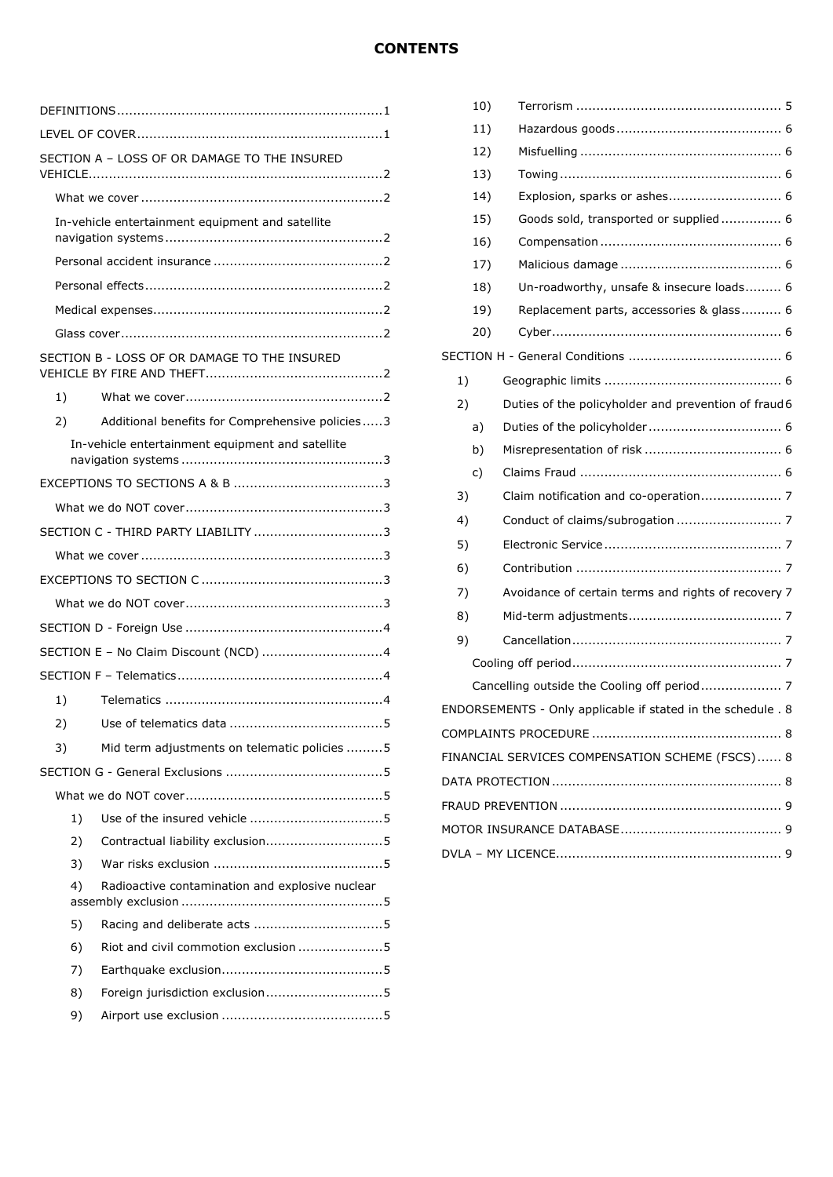|    | SECTION A - LOSS OF OR DAMAGE TO THE INSURED     |
|----|--------------------------------------------------|
|    |                                                  |
|    | In-vehicle entertainment equipment and satellite |
|    |                                                  |
|    |                                                  |
|    |                                                  |
|    |                                                  |
|    | SECTION B - LOSS OF OR DAMAGE TO THE INSURED     |
| 1) |                                                  |
| 2) | Additional benefits for Comprehensive policies3  |
|    | In-vehicle entertainment equipment and satellite |
|    |                                                  |
|    |                                                  |
|    | SECTION C - THIRD PARTY LIABILITY 3              |
|    |                                                  |
|    |                                                  |
|    |                                                  |
|    |                                                  |
|    | SECTION E - No Claim Discount (NCD) 4            |
|    |                                                  |
| 1) |                                                  |
| 2) |                                                  |
| 3) | Mid term adjustments on telematic policies 5     |
|    |                                                  |
|    |                                                  |
| 1) |                                                  |
| 2) | Contractual liability exclusion5                 |
| 3) |                                                  |
| 4) | Radioactive contamination and explosive nuclear  |
| 5) |                                                  |
| 6) | Riot and civil commotion exclusion 5             |
| 7) |                                                  |
| 8) | Foreign jurisdiction exclusion5                  |
| 9) |                                                  |

|    | 10) |                                                              |  |  |
|----|-----|--------------------------------------------------------------|--|--|
|    | 11) |                                                              |  |  |
|    | 12) |                                                              |  |  |
|    | 13) |                                                              |  |  |
|    | 14) |                                                              |  |  |
|    | 15) | Goods sold, transported or supplied 6                        |  |  |
|    | 16) |                                                              |  |  |
|    | 17) |                                                              |  |  |
|    | 18) | Un-roadworthy, unsafe & insecure loads 6                     |  |  |
|    | 19) | Replacement parts, accessories & glass 6                     |  |  |
|    | 20) |                                                              |  |  |
|    |     |                                                              |  |  |
| 1) |     |                                                              |  |  |
| 2) |     | Duties of the policyholder and prevention of fraud 6         |  |  |
|    | a)  |                                                              |  |  |
|    | b)  |                                                              |  |  |
|    | c)  |                                                              |  |  |
| 3) |     |                                                              |  |  |
| 4) |     |                                                              |  |  |
| 5) |     |                                                              |  |  |
| 6) |     |                                                              |  |  |
| 7) |     | Avoidance of certain terms and rights of recovery 7          |  |  |
| 8) |     |                                                              |  |  |
| 9) |     |                                                              |  |  |
|    |     |                                                              |  |  |
|    |     |                                                              |  |  |
|    |     | ENDORSEMENTS - Only applicable if stated in the schedule . 8 |  |  |
|    |     |                                                              |  |  |
|    |     | FINANCIAL SERVICES COMPENSATION SCHEME (FSCS) 8              |  |  |
|    |     |                                                              |  |  |
|    |     |                                                              |  |  |
|    |     |                                                              |  |  |
|    |     |                                                              |  |  |
|    |     |                                                              |  |  |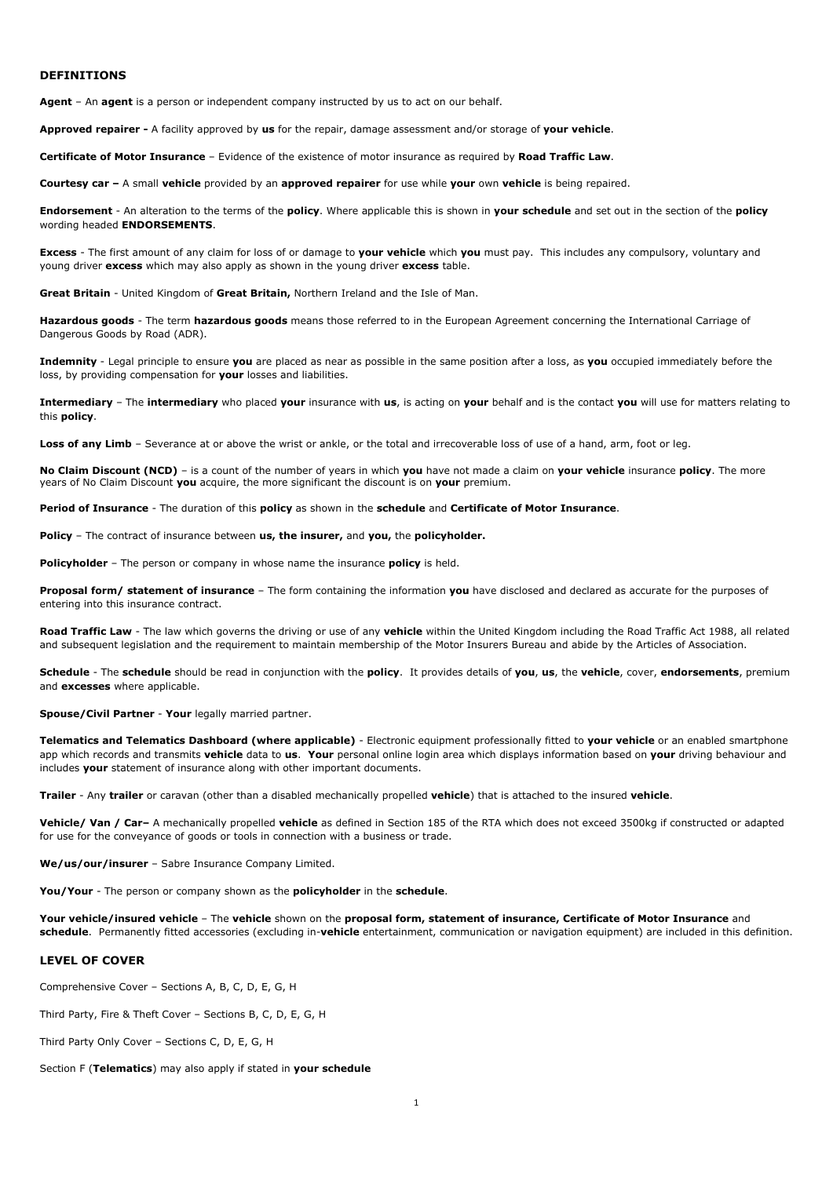#### **DEFINITIONS**

**Agent** – An **agent** is a person or independent company instructed by us to act on our behalf.

**Approved repairer -** A facility approved by **us** for the repair, damage assessment and/or storage of **your vehicle**.

**Certificate of Motor Insurance** – Evidence of the existence of motor insurance as required by **Road Traffic Law**.

**Courtesy car –** A small **vehicle** provided by an **approved repairer** for use while **your** own **vehicle** is being repaired.

**Endorsement** - An alteration to the terms of the **policy**. Where applicable this is shown in **your schedule** and set out in the section of the **policy** wording headed **ENDORSEMENTS**.

**Excess** - The first amount of any claim for loss of or damage to **your vehicle** which **you** must pay. This includes any compulsory, voluntary and young driver **excess** which may also apply as shown in the young driver **excess** table.

**Great Britain** - United Kingdom of **Great Britain,** Northern Ireland and the Isle of Man.

**Hazardous goods** - The term **hazardous goods** means those referred to in the European Agreement concerning the International Carriage of Dangerous Goods by Road (ADR).

**Indemnity** - Legal principle to ensure **you** are placed as near as possible in the same position after a loss, as **you** occupied immediately before the loss, by providing compensation for **your** losses and liabilities.

**Intermediary** – The **intermediary** who placed **your** insurance with **us**, is acting on **your** behalf and is the contact **you** will use for matters relating to this **policy**.

Loss of any Limb - Severance at or above the wrist or ankle, or the total and irrecoverable loss of use of a hand, arm, foot or leg.

**No Claim Discount (NCD)** – is a count of the number of years in which **you** have not made a claim on **your vehicle** insurance **policy**. The more years of No Claim Discount **you** acquire, the more significant the discount is on **your** premium.

**Period of Insurance** - The duration of this **policy** as shown in the **schedule** and **Certificate of Motor Insurance**.

**Policy** – The contract of insurance between **us, the insurer,** and **you,** the **policyholder.**

**Policyholder** – The person or company in whose name the insurance **policy** is held.

**Proposal form/ statement of insurance** – The form containing the information **you** have disclosed and declared as accurate for the purposes of entering into this insurance contract.

**Road Traffic Law** - The law which governs the driving or use of any **vehicle** within the United Kingdom including the Road Traffic Act 1988, all related and subsequent legislation and the requirement to maintain membership of the Motor Insurers Bureau and abide by the Articles of Association.

**Schedule** - The **schedule** should be read in conjunction with the **policy**. It provides details of **you**, **us**, the **vehicle**, cover, **endorsements**, premium and **excesses** where applicable.

**Spouse/Civil Partner** - **Your** legally married partner.

**Telematics and Telematics Dashboard (where applicable)** - Electronic equipment professionally fitted to **your vehicle** or an enabled smartphone app which records and transmits **vehicle** data to **us**. **Your** personal online login area which displays information based on **your** driving behaviour and includes **your** statement of insurance along with other important documents.

**Trailer** - Any **trailer** or caravan (other than a disabled mechanically propelled **vehicle**) that is attached to the insured **vehicle**.

**Vehicle/ Van / Car–** A mechanically propelled **vehicle** as defined in Section 185 of the RTA which does not exceed 3500kg if constructed or adapted for use for the conveyance of goods or tools in connection with a business or trade.

**We/us/our/insurer** – Sabre Insurance Company Limited.

**You/Your** - The person or company shown as the **policyholder** in the **schedule**.

**Your vehicle/insured vehicle** – The **vehicle** shown on the **proposal form, statement of insurance, Certificate of Motor Insurance** and **schedule**. Permanently fitted accessories (excluding in-**vehicle** entertainment, communication or navigation equipment) are included in this definition.

### **LEVEL OF COVER**

Comprehensive Cover – Sections A, B, C, D, E, G, H

Third Party, Fire & Theft Cover – Sections B, C, D, E, G, H

Third Party Only Cover – Sections C, D, E, G, H

Section F (**Telematics**) may also apply if stated in **your schedule**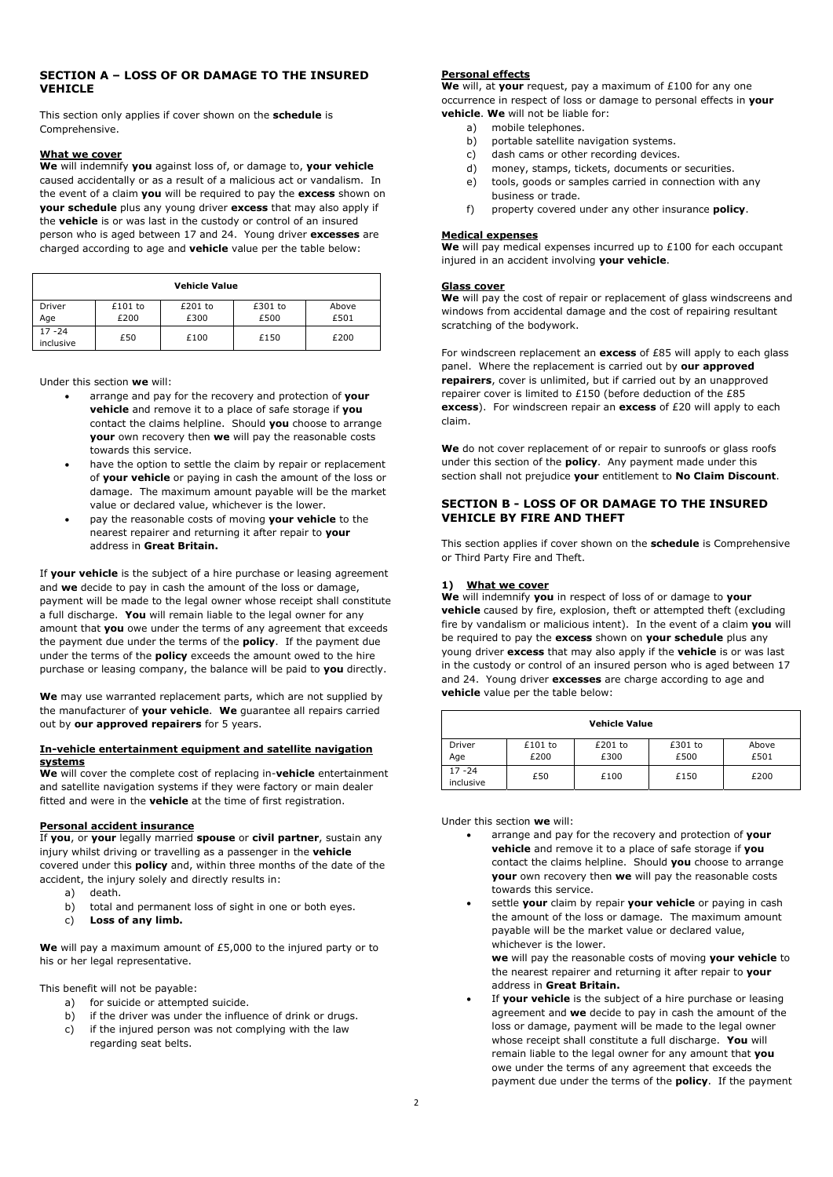# **SECTION A – LOSS OF OR DAMAGE TO THE INSURED VEHICLE**

This section only applies if cover shown on the **schedule** is Comprehensive.

#### **What we cover**

**We** will indemnify **you** against loss of, or damage to, **your vehicle** caused accidentally or as a result of a malicious act or vandalism. In the event of a claim **you** will be required to pay the **excess** shown on **your schedule** plus any young driver **excess** that may also apply if the **vehicle** is or was last in the custody or control of an insured person who is aged between 17 and 24. Young driver **excesses** are charged according to age and **vehicle** value per the table below:

| <b>Vehicle Value</b>   |                 |                   |                 |               |
|------------------------|-----------------|-------------------|-----------------|---------------|
| Driver<br>Age          | £101 to<br>£200 | $£201$ to<br>£300 | £301 to<br>£500 | Above<br>£501 |
| $17 - 24$<br>inclusive | £50             | £100              | £150            | £200          |

Under this section **we** will:

- arrange and pay for the recovery and protection of **your vehicle** and remove it to a place of safe storage if **you** contact the claims helpline. Should **you** choose to arrange **your** own recovery then **we** will pay the reasonable costs towards this service.
- have the option to settle the claim by repair or replacement of **your vehicle** or paying in cash the amount of the loss or damage. The maximum amount payable will be the market value or declared value, whichever is the lower.
- pay the reasonable costs of moving **your vehicle** to the nearest repairer and returning it after repair to **your** address in **Great Britain.**

If **your vehicle** is the subject of a hire purchase or leasing agreement and **we** decide to pay in cash the amount of the loss or damage, payment will be made to the legal owner whose receipt shall constitute a full discharge. **You** will remain liable to the legal owner for any amount that **you** owe under the terms of any agreement that exceeds the payment due under the terms of the **policy**. If the payment due under the terms of the **policy** exceeds the amount owed to the hire purchase or leasing company, the balance will be paid to **you** directly.

**We** may use warranted replacement parts, which are not supplied by the manufacturer of **your vehicle**. **We** guarantee all repairs carried out by **our approved repairers** for 5 years.

#### **In-vehicle entertainment equipment and satellite navigation systems**

**We** will cover the complete cost of replacing in-**vehicle** entertainment and satellite navigation systems if they were factory or main dealer fitted and were in the **vehicle** at the time of first registration.

#### **Personal accident insurance**

If **you**, or **your** legally married **spouse** or **civil partner**, sustain any injury whilst driving or travelling as a passenger in the **vehicle** covered under this **policy** and, within three months of the date of the accident, the injury solely and directly results in:

- a) death.
- b) total and permanent loss of sight in one or both eyes.
- c) **Loss of any limb.**

**We** will pay a maximum amount of £5,000 to the injured party or to his or her legal representative.

This benefit will not be payable:

- a) for suicide or attempted suicide.
- b) if the driver was under the influence of drink or drugs.
- c) if the injured person was not complying with the law regarding seat belts.

### **Personal effects**

**We** will, at **your** request, pay a maximum of £100 for any one occurrence in respect of loss or damage to personal effects in **your vehicle**. **We** will not be liable for:

- a) mobile telephones.
- b) portable satellite navigation systems.
- c) dash cams or other recording devices.
- d) money, stamps, tickets, documents or securities.
- e) tools, goods or samples carried in connection with any business or trade.
- f) property covered under any other insurance **policy**.

#### **Medical expenses**

**We** will pay medical expenses incurred up to £100 for each occupant injured in an accident involving **your vehicle**.

#### **Glass cover**

**We** will pay the cost of repair or replacement of glass windscreens and windows from accidental damage and the cost of repairing resultant scratching of the bodywork.

For windscreen replacement an **excess** of £85 will apply to each glass panel. Where the replacement is carried out by **our approved repairers**, cover is unlimited, but if carried out by an unapproved repairer cover is limited to £150 (before deduction of the £85 **excess**). For windscreen repair an **excess** of £20 will apply to each claim.

We do not cover replacement of or repair to sunroofs or glass roofs under this section of the **policy**. Any payment made under this section shall not prejudice **your** entitlement to **No Claim Discount**.

## **SECTION B - LOSS OF OR DAMAGE TO THE INSURED VEHICLE BY FIRE AND THEFT**

This section applies if cover shown on the **schedule** is Comprehensive or Third Party Fire and Theft.

#### **1) What we cover**

**We** will indemnify **you** in respect of loss of or damage to **your vehicle** caused by fire, explosion, theft or attempted theft (excluding fire by vandalism or malicious intent). In the event of a claim **you** will be required to pay the **excess** shown on **your schedule** plus any young driver **excess** that may also apply if the **vehicle** is or was last in the custody or control of an insured person who is aged between 17 and 24. Young driver **excesses** are charge according to age and **vehicle** value per the table below:

| <b>Vehicle Value</b>   |                   |                 |                 |               |
|------------------------|-------------------|-----------------|-----------------|---------------|
| Driver<br>Age          | $£101$ to<br>£200 | £201 to<br>£300 | £301 to<br>£500 | Above<br>£501 |
| $17 - 24$<br>inclusive | £50               | £100            | £150            | £200          |

Under this section **we** will:

- arrange and pay for the recovery and protection of **your vehicle** and remove it to a place of safe storage if **you** contact the claims helpline. Should **you** choose to arrange **your** own recovery then **we** will pay the reasonable costs towards this service.
- settle **your** claim by repair **your vehicle** or paying in cash the amount of the loss or damage. The maximum amount payable will be the market value or declared value, whichever is the lower.

**we** will pay the reasonable costs of moving **your vehicle** to the nearest repairer and returning it after repair to **your** address in **Great Britain.**

 If **your vehicle** is the subject of a hire purchase or leasing agreement and **we** decide to pay in cash the amount of the loss or damage, payment will be made to the legal owner whose receipt shall constitute a full discharge. **You** will remain liable to the legal owner for any amount that **you** owe under the terms of any agreement that exceeds the payment due under the terms of the **policy**. If the payment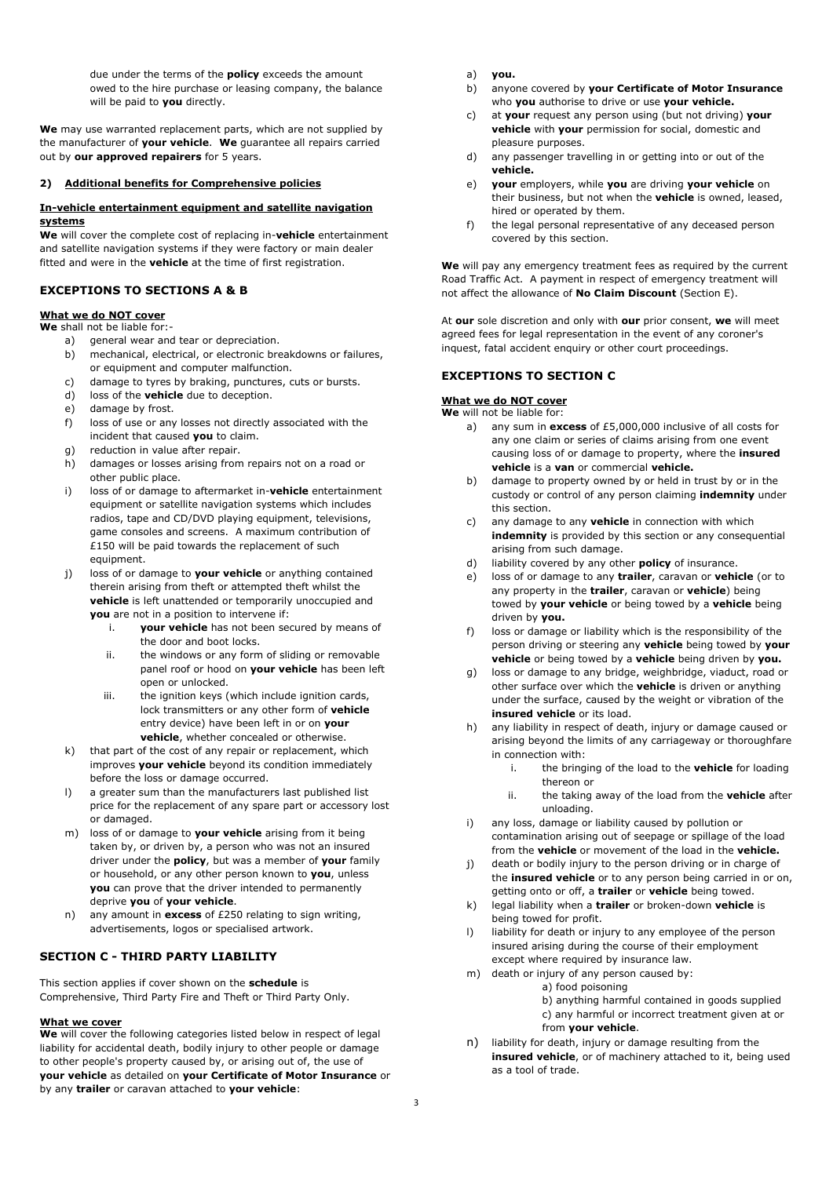due under the terms of the **policy** exceeds the amount owed to the hire purchase or leasing company, the balance will be paid to **you** directly.

**We** may use warranted replacement parts, which are not supplied by the manufacturer of **your vehicle**. **We** guarantee all repairs carried out by **our approved repairers** for 5 years.

#### **2) Additional benefits for Comprehensive policies**

#### **In-vehicle entertainment equipment and satellite navigation systems**

**We** will cover the complete cost of replacing in-**vehicle** entertainment and satellite navigation systems if they were factory or main dealer fitted and were in the **vehicle** at the time of first registration.

### **EXCEPTIONS TO SECTIONS A & B**

### **What we do NOT cover**

**We** shall not be liable for:-

- a) general wear and tear or depreciation.
- b) mechanical, electrical, or electronic breakdowns or failures, or equipment and computer malfunction.
- c) damage to tyres by braking, punctures, cuts or bursts.
- d) loss of the **vehicle** due to deception.
- e) damage by frost.
- f) loss of use or any losses not directly associated with the incident that caused **you** to claim.
- g) reduction in value after repair.
- h) damages or losses arising from repairs not on a road or other public place.
- i) loss of or damage to aftermarket in-**vehicle** entertainment equipment or satellite navigation systems which includes radios, tape and CD/DVD playing equipment, televisions, game consoles and screens. A maximum contribution of £150 will be paid towards the replacement of such equipment.
- j) loss of or damage to **your vehicle** or anything contained therein arising from theft or attempted theft whilst the **vehicle** is left unattended or temporarily unoccupied and **you** are not in a position to intervene if:
	- i. **your vehicle** has not been secured by means of the door and boot locks.
	- ii. the windows or any form of sliding or removable panel roof or hood on **your vehicle** has been left open or unlocked.
	- iii. the ignition keys (which include ignition cards, lock transmitters or any other form of **vehicle** entry device) have been left in or on **your vehicle**, whether concealed or otherwise.
- k) that part of the cost of any repair or replacement, which improves **your vehicle** beyond its condition immediately before the loss or damage occurred.
- a greater sum than the manufacturers last published list price for the replacement of any spare part or accessory lost or damaged.
- m) loss of or damage to **your vehicle** arising from it being taken by, or driven by, a person who was not an insured driver under the **policy**, but was a member of **your** family or household, or any other person known to **you**, unless **you** can prove that the driver intended to permanently deprive **you** of **your vehicle**.
- n) any amount in **excess** of £250 relating to sign writing, advertisements, logos or specialised artwork.

### **SECTION C - THIRD PARTY LIABILITY**

This section applies if cover shown on the **schedule** is Comprehensive, Third Party Fire and Theft or Third Party Only.

#### **What we cover**

**We** will cover the following categories listed below in respect of legal liability for accidental death, bodily injury to other people or damage to other people's property caused by, or arising out of, the use of **your vehicle** as detailed on **your Certificate of Motor Insurance** or by any **trailer** or caravan attached to **your vehicle**:

- a) **you.**
- b) anyone covered by **your Certificate of Motor Insurance** who **you** authorise to drive or use **your vehicle.**
- c) at **your** request any person using (but not driving) **your vehicle** with **your** permission for social, domestic and pleasure purposes.
- d) any passenger travelling in or getting into or out of the **vehicle.**
- e) **your** employers, while **you** are driving **your vehicle** on their business, but not when the **vehicle** is owned, leased, hired or operated by them.
- f) the legal personal representative of any deceased person covered by this section.

**We** will pay any emergency treatment fees as required by the current Road Traffic Act. A payment in respect of emergency treatment will not affect the allowance of **No Claim Discount** (Section E).

At **our** sole discretion and only with **our** prior consent, **we** will meet agreed fees for legal representation in the event of any coroner's inquest, fatal accident enquiry or other court proceedings.

### **EXCEPTIONS TO SECTION C**

#### **What we do NOT cover**

**We** will not be liable for:

- a) any sum in **excess** of £5,000,000 inclusive of all costs for any one claim or series of claims arising from one event causing loss of or damage to property, where the **insured vehicle** is a **van** or commercial **vehicle.**
- b) damage to property owned by or held in trust by or in the custody or control of any person claiming **indemnity** under this section.
- c) any damage to any **vehicle** in connection with which **indemnity** is provided by this section or any consequential arising from such damage.
- d) liability covered by any other **policy** of insurance.
- e) loss of or damage to any **trailer**, caravan or **vehicle** (or to any property in the **trailer**, caravan or **vehicle**) being towed by **your vehicle** or being towed by a **vehicle** being driven by **you.**
- f) loss or damage or liability which is the responsibility of the person driving or steering any **vehicle** being towed by **your vehicle** or being towed by a **vehicle** being driven by **you.**
- g) loss or damage to any bridge, weighbridge, viaduct, road or other surface over which the **vehicle** is driven or anything under the surface, caused by the weight or vibration of the **insured vehicle** or its load.
- h) any liability in respect of death, injury or damage caused or arising beyond the limits of any carriageway or thoroughfare in connection with:
	- i. the bringing of the load to the **vehicle** for loading thereon or
	- ii. the taking away of the load from the **vehicle** after unloading.
- any loss, damage or liability caused by pollution or contamination arising out of seepage or spillage of the load from the **vehicle** or movement of the load in the **vehicle.**
- j) death or bodily injury to the person driving or in charge of the **insured vehicle** or to any person being carried in or on, getting onto or off, a **trailer** or **vehicle** being towed.
- k) legal liability when a **trailer** or broken-down **vehicle** is being towed for profit.
- l) liability for death or injury to any employee of the person insured arising during the course of their employment except where required by insurance law.
- m) death or injury of any person caused by:
	- a) food poisoning
	- b) anything harmful contained in goods supplied c) any harmful or incorrect treatment given at or

#### from **your vehicle**.

n) liability for death, injury or damage resulting from the **insured vehicle**, or of machinery attached to it, being used as a tool of trade.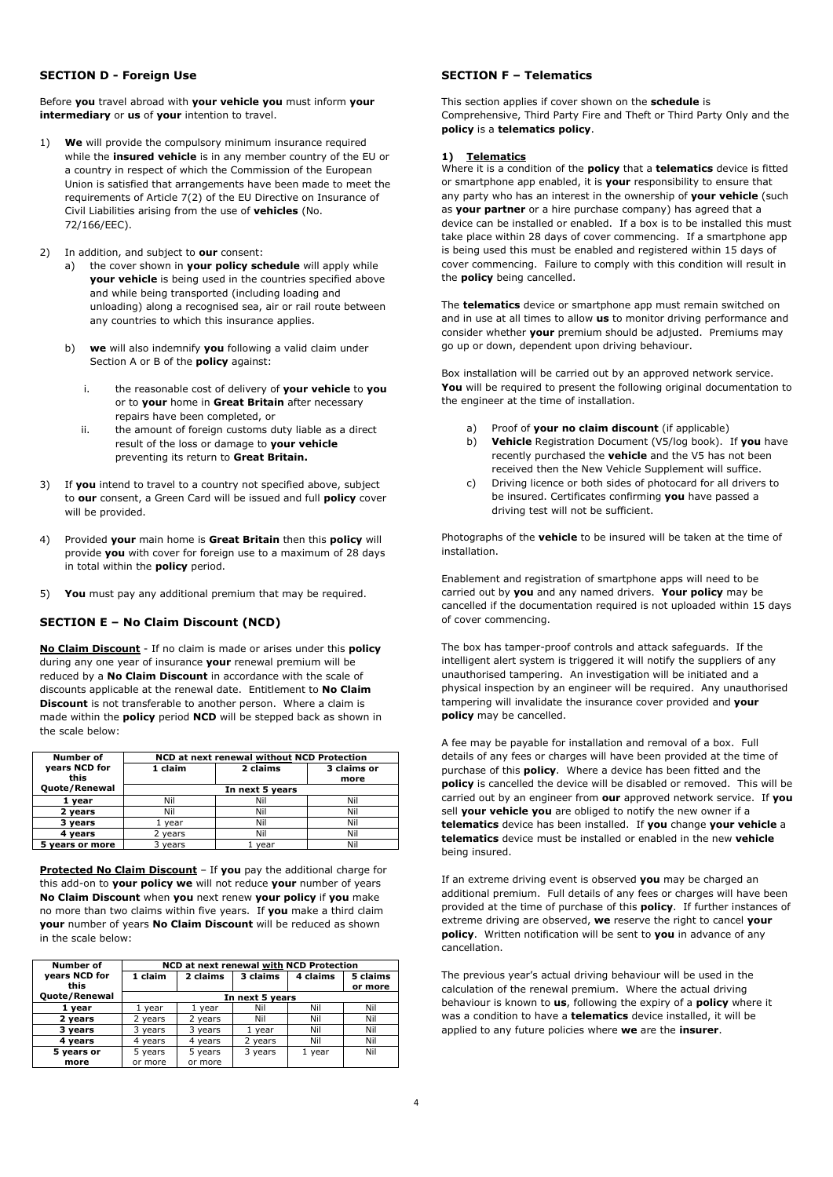## **SECTION D - Foreign Use**

Before **you** travel abroad with **your vehicle you** must inform **your intermediary** or **us** of **your** intention to travel.

- 1) **We** will provide the compulsory minimum insurance required while the **insured vehicle** is in any member country of the EU or a country in respect of which the Commission of the European Union is satisfied that arrangements have been made to meet the requirements of Article 7(2) of the EU Directive on Insurance of Civil Liabilities arising from the use of **vehicles** (No. 72/166/EEC).
- 2) In addition, and subject to **our** consent:
	- a) the cover shown in **your policy schedule** will apply while **your vehicle** is being used in the countries specified above and while being transported (including loading and unloading) along a recognised sea, air or rail route between any countries to which this insurance applies.
	- b) **we** will also indemnify **you** following a valid claim under Section A or B of the **policy** against:
		- i. the reasonable cost of delivery of **your vehicle** to **you** or to **your** home in **Great Britain** after necessary repairs have been completed, or
		- ii. the amount of foreign customs duty liable as a direct result of the loss or damage to **your vehicle**  preventing its return to **Great Britain.**
- 3) If **you** intend to travel to a country not specified above, subject to **our** consent, a Green Card will be issued and full **policy** cover will be provided.
- 4) Provided **your** main home is **Great Britain** then this **policy** will provide **you** with cover for foreign use to a maximum of 28 days in total within the **policy** period.
- 5) **You** must pay any additional premium that may be required.

# **SECTION E – No Claim Discount (NCD)**

**No Claim Discount** - If no claim is made or arises under this **policy** during any one year of insurance **your** renewal premium will be reduced by a **No Claim Discount** in accordance with the scale of discounts applicable at the renewal date. Entitlement to **No Claim Discount** is not transferable to another person. Where a claim is made within the **policy** period **NCD** will be stepped back as shown in the scale below:

| Number of       | NCD at next renewal without NCD Protection |      |      |  |
|-----------------|--------------------------------------------|------|------|--|
| years NCD for   | 2 claims<br>3 claims or<br>1 claim         |      |      |  |
| this            |                                            |      | more |  |
| Quote/Renewal   | In next 5 years                            |      |      |  |
| 1 vear          | Nil                                        | Nil  | Nil  |  |
| 2 years         | Nil                                        | Nil  | Nil  |  |
| 3 vears         | year                                       | Nil  | Nil  |  |
| 4 years         | 2 years                                    | Nil  | Nil  |  |
| 5 years or more | 3 years                                    | vear | Nil  |  |

**Protected No Claim Discount** – If **you** pay the additional charge for this add-on to **your policy we** will not reduce **your** number of years **No Claim Discount** when **you** next renew **your policy** if **you** make no more than two claims within five years. If **you** make a third claim **your** number of years **No Claim Discount** will be reduced as shown in the scale below:

| Number of     | <b>NCD at next renewal with NCD Protection</b> |          |                 |          |          |
|---------------|------------------------------------------------|----------|-----------------|----------|----------|
| years NCD for | 1 claim                                        | 2 claims | 3 claims        | 4 claims | 5 claims |
| this          |                                                |          |                 |          | or more  |
| Quote/Renewal |                                                |          | In next 5 years |          |          |
| 1 year        | vear                                           | 1 vear   | Nil             | Nil      | Nil      |
| 2 years       | 2 years                                        | 2 years  | Nil             | Nil      | Nil      |
| 3 years       | 3 years                                        | 3 years  | 1 year          | Nil      | Nil      |
| 4 years       | 4 vears                                        | 4 vears  | 2 years         | Nil      | Nil      |
| 5 years or    | 5 years                                        | 5 years  | 3 years         | 1 year   | Nil      |
| more          | or more                                        | or more  |                 |          |          |

# **SECTION F – Telematics**

This section applies if cover shown on the **schedule** is Comprehensive, Third Party Fire and Theft or Third Party Only and the **policy** is a **telematics policy**.

### **1) Telematics**

Where it is a condition of the **policy** that a **telematics** device is fitted or smartphone app enabled, it is **your** responsibility to ensure that any party who has an interest in the ownership of **your vehicle** (such as **your partner** or a hire purchase company) has agreed that a device can be installed or enabled. If a box is to be installed this must take place within 28 days of cover commencing. If a smartphone app is being used this must be enabled and registered within 15 days of cover commencing. Failure to comply with this condition will result in the **policy** being cancelled.

The **telematics** device or smartphone app must remain switched on and in use at all times to allow **us** to monitor driving performance and consider whether **your** premium should be adjusted. Premiums may go up or down, dependent upon driving behaviour.

Box installation will be carried out by an approved network service. **You** will be required to present the following original documentation to the engineer at the time of installation.

- a) Proof of **your no claim discount** (if applicable)
- b) **Vehicle** Registration Document (V5/log book). If **you** have recently purchased the **vehicle** and the V5 has not been received then the New Vehicle Supplement will suffice.
- c) Driving licence or both sides of photocard for all drivers to be insured. Certificates confirming **you** have passed a driving test will not be sufficient.

Photographs of the **vehicle** to be insured will be taken at the time of installation.

Enablement and registration of smartphone apps will need to be carried out by **you** and any named drivers. **Your policy** may be cancelled if the documentation required is not uploaded within 15 days of cover commencing.

The box has tamper-proof controls and attack safeguards. If the intelligent alert system is triggered it will notify the suppliers of any unauthorised tampering. An investigation will be initiated and a physical inspection by an engineer will be required. Any unauthorised tampering will invalidate the insurance cover provided and **your policy** may be cancelled.

A fee may be payable for installation and removal of a box. Full details of any fees or charges will have been provided at the time of purchase of this **policy**. Where a device has been fitted and the **policy** is cancelled the device will be disabled or removed. This will be carried out by an engineer from **our** approved network service. If **you** sell **your vehicle you** are obliged to notify the new owner if a **telematics** device has been installed. If **you** change **your vehicle** a **telematics** device must be installed or enabled in the new **vehicle**  being insured.

If an extreme driving event is observed **you** may be charged an additional premium. Full details of any fees or charges will have been provided at the time of purchase of this **policy**. If further instances of extreme driving are observed, **we** reserve the right to cancel **your policy**. Written notification will be sent to **you** in advance of any cancellation.

The previous year's actual driving behaviour will be used in the calculation of the renewal premium. Where the actual driving behaviour is known to **us**, following the expiry of a **policy** where it was a condition to have a **telematics** device installed, it will be applied to any future policies where **we** are the **insurer**.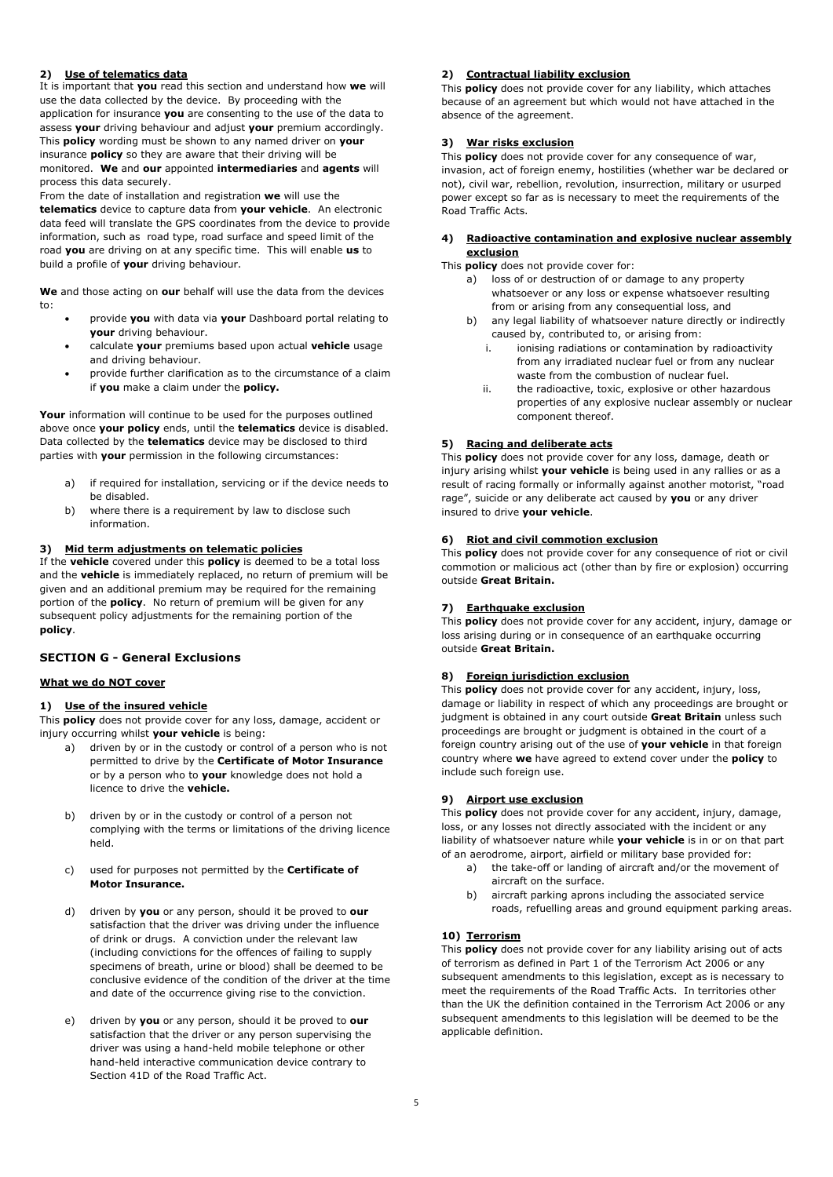## **2) Use of telematics data**

It is important that **you** read this section and understand how **we** will use the data collected by the device. By proceeding with the application for insurance **you** are consenting to the use of the data to assess **your** driving behaviour and adjust **your** premium accordingly. This **policy** wording must be shown to any named driver on **your** insurance **policy** so they are aware that their driving will be monitored. **We** and **our** appointed **intermediaries** and **agents** will process this data securely.

From the date of installation and registration **we** will use the **telematics** device to capture data from **your vehicle**. An electronic data feed will translate the GPS coordinates from the device to provide information, such as road type, road surface and speed limit of the road **you** are driving on at any specific time. This will enable **us** to build a profile of **your** driving behaviour.

**We** and those acting on **our** behalf will use the data from the devices to:

- provide **you** with data via **your** Dashboard portal relating to **your** driving behaviour.
- calculate **your** premiums based upon actual **vehicle** usage and driving behaviour.
- provide further clarification as to the circumstance of a claim if **you** make a claim under the **policy.**

Your information will continue to be used for the purposes outlined above once **your policy** ends, until the **telematics** device is disabled. Data collected by the **telematics** device may be disclosed to third parties with **your** permission in the following circumstances:

- a) if required for installation, servicing or if the device needs to be disabled.
- b) where there is a requirement by law to disclose such information.

### **3) Mid term adjustments on telematic policies**

If the **vehicle** covered under this **policy** is deemed to be a total loss and the **vehicle** is immediately replaced, no return of premium will be given and an additional premium may be required for the remaining portion of the **policy**. No return of premium will be given for any subsequent policy adjustments for the remaining portion of the **policy**.

# **SECTION G - General Exclusions**

# **What we do NOT cover**

### **1) Use of the insured vehicle**

This **policy** does not provide cover for any loss, damage, accident or injury occurring whilst **your vehicle** is being:

- a) driven by or in the custody or control of a person who is not permitted to drive by the **Certificate of Motor Insurance** or by a person who to **your** knowledge does not hold a licence to drive the **vehicle.**
- b) driven by or in the custody or control of a person not complying with the terms or limitations of the driving licence held.
- c) used for purposes not permitted by the **Certificate of Motor Insurance.**
- d) driven by **you** or any person, should it be proved to **our** satisfaction that the driver was driving under the influence of drink or drugs. A conviction under the relevant law (including convictions for the offences of failing to supply specimens of breath, urine or blood) shall be deemed to be conclusive evidence of the condition of the driver at the time and date of the occurrence giving rise to the conviction.
- e) driven by **you** or any person, should it be proved to **our** satisfaction that the driver or any person supervising the driver was using a hand-held mobile telephone or other hand-held interactive communication device contrary to Section 41D of the Road Traffic Act.

# **2) Contractual liability exclusion**

This **policy** does not provide cover for any liability, which attaches because of an agreement but which would not have attached in the absence of the agreement.

## **3) War risks exclusion**

This **policy** does not provide cover for any consequence of war, invasion, act of foreign enemy, hostilities (whether war be declared or not), civil war, rebellion, revolution, insurrection, military or usurped power except so far as is necessary to meet the requirements of the Road Traffic Acts.

### **4) Radioactive contamination and explosive nuclear assembly exclusion**

This **policy** does not provide cover for:

- a) loss of or destruction of or damage to any property whatsoever or any loss or expense whatsoever resulting from or arising from any consequential loss, and
- b) any legal liability of whatsoever nature directly or indirectly caused by, contributed to, or arising from:
	- i. ionising radiations or contamination by radioactivity from any irradiated nuclear fuel or from any nuclear waste from the combustion of nuclear fuel.
	- ii. the radioactive, toxic, explosive or other hazardous properties of any explosive nuclear assembly or nuclear component thereof.

## **5) Racing and deliberate acts**

This **policy** does not provide cover for any loss, damage, death or injury arising whilst **your vehicle** is being used in any rallies or as a result of racing formally or informally against another motorist, "road rage", suicide or any deliberate act caused by **you** or any driver insured to drive **your vehicle**.

### **6) Riot and civil commotion exclusion**

This **policy** does not provide cover for any consequence of riot or civil commotion or malicious act (other than by fire or explosion) occurring outside **Great Britain.** 

# **7) Earthquake exclusion**

This **policy** does not provide cover for any accident, injury, damage or loss arising during or in consequence of an earthquake occurring outside **Great Britain.**

# **8) Foreign jurisdiction exclusion**

This **policy** does not provide cover for any accident, injury, loss, damage or liability in respect of which any proceedings are brought or judgment is obtained in any court outside **Great Britain** unless such proceedings are brought or judgment is obtained in the court of a foreign country arising out of the use of **your vehicle** in that foreign country where **we** have agreed to extend cover under the **policy** to include such foreign use.

# **9) Airport use exclusion**

This **policy** does not provide cover for any accident, injury, damage, loss, or any losses not directly associated with the incident or any liability of whatsoever nature while **your vehicle** is in or on that part of an aerodrome, airport, airfield or military base provided for:

- a) the take-off or landing of aircraft and/or the movement of aircraft on the surface.
- b) aircraft parking aprons including the associated service roads, refuelling areas and ground equipment parking areas.

# **10) Terrorism**

This **policy** does not provide cover for any liability arising out of acts of terrorism as defined in Part 1 of the Terrorism Act 2006 or any subsequent amendments to this legislation, except as is necessary to meet the requirements of the Road Traffic Acts. In territories other than the UK the definition contained in the Terrorism Act 2006 or any subsequent amendments to this legislation will be deemed to be the applicable definition.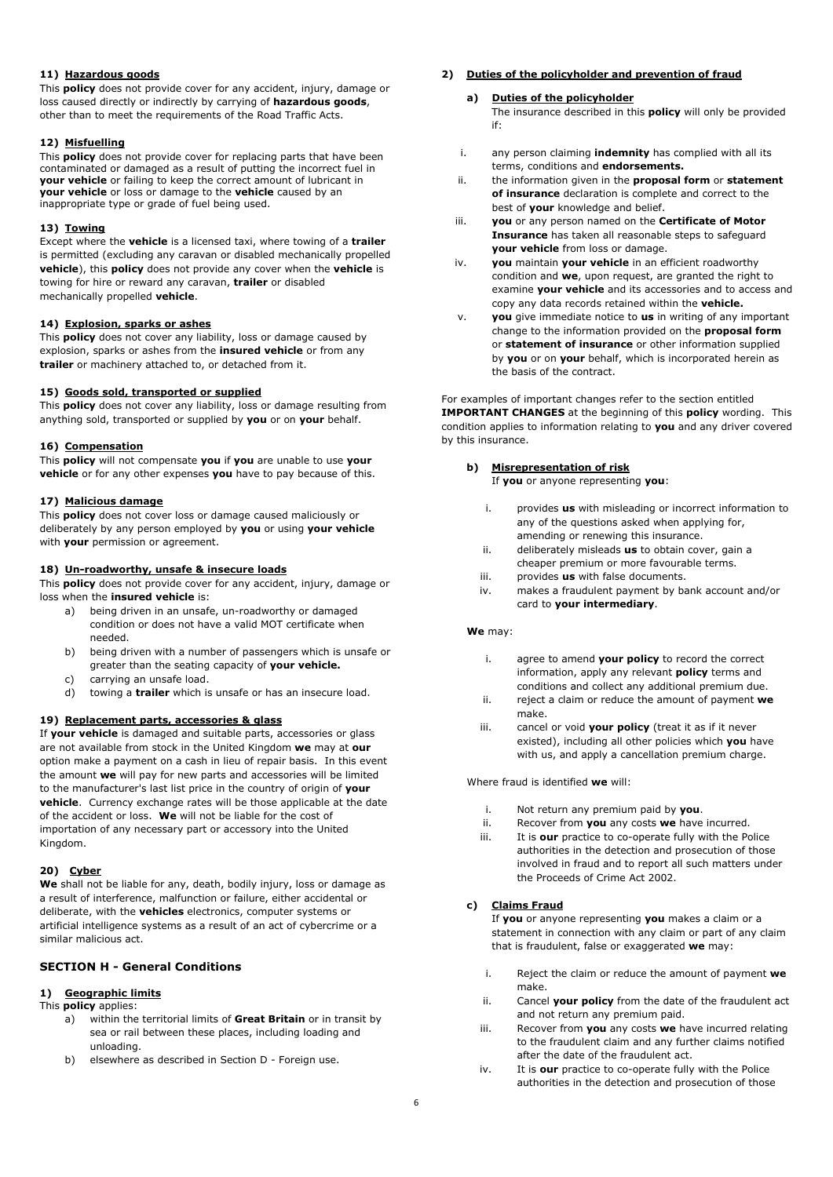## **11) Hazardous goods**

This **policy** does not provide cover for any accident, injury, damage or loss caused directly or indirectly by carrying of **hazardous goods**, other than to meet the requirements of the Road Traffic Acts.

### **12) Misfuelling**

This **policy** does not provide cover for replacing parts that have been contaminated or damaged as a result of putting the incorrect fuel in **your vehicle** or failing to keep the correct amount of lubricant in **your vehicle** or loss or damage to the **vehicle** caused by an inappropriate type or grade of fuel being used.

### **13) Towing**

Except where the **vehicle** is a licensed taxi, where towing of a **trailer** is permitted (excluding any caravan or disabled mechanically propelled **vehicle**), this **policy** does not provide any cover when the **vehicle** is towing for hire or reward any caravan, **trailer** or disabled mechanically propelled **vehicle**.

# **14) Explosion, sparks or ashes**

This **policy** does not cover any liability, loss or damage caused by explosion, sparks or ashes from the **insured vehicle** or from any **trailer** or machinery attached to, or detached from it.

## **15) Goods sold, transported or supplied**

This **policy** does not cover any liability, loss or damage resulting from anything sold, transported or supplied by **you** or on **your** behalf.

### **16) Compensation**

This **policy** will not compensate **you** if **you** are unable to use **your vehicle** or for any other expenses **you** have to pay because of this.

## **17) Malicious damage**

This **policy** does not cover loss or damage caused maliciously or deliberately by any person employed by **you** or using **your vehicle** with **your** permission or agreement.

# **18) Un-roadworthy, unsafe & insecure loads**

This **policy** does not provide cover for any accident, injury, damage or loss when the **insured vehicle** is:

- a) being driven in an unsafe, un-roadworthy or damaged condition or does not have a valid MOT certificate when needed.
- b) being driven with a number of passengers which is unsafe or greater than the seating capacity of **your vehicle.**
- c) carrying an unsafe load.
- d) towing a **trailer** which is unsafe or has an insecure load.

# **19) Replacement parts, accessories & glass**

If **your vehicle** is damaged and suitable parts, accessories or glass are not available from stock in the United Kingdom **we** may at **our** option make a payment on a cash in lieu of repair basis. In this event the amount **we** will pay for new parts and accessories will be limited to the manufacturer's last list price in the country of origin of **your vehicle**. Currency exchange rates will be those applicable at the date of the accident or loss. **We** will not be liable for the cost of importation of any necessary part or accessory into the United Kingdom.

### **20) Cyber**

**We** shall not be liable for any, death, bodily injury, loss or damage as a result of interference, malfunction or failure, either accidental or deliberate, with the **vehicles** electronics, computer systems or artificial intelligence systems as a result of an act of cybercrime or a similar malicious act.

# **SECTION H - General Conditions**

# **1) Geographic limits**

- This **policy** applies:
	- a) within the territorial limits of **Great Britain** or in transit by sea or rail between these places, including loading and unloading.
	- b) elsewhere as described in Section D Foreign use.

## **2) Duties of the policyholder and prevention of fraud**

# **a) Duties of the policyholder**

The insurance described in this **policy** will only be provided if:

- i. any person claiming **indemnity** has complied with all its terms, conditions and **endorsements.**
- ii. the information given in the **proposal form** or **statement of insurance** declaration is complete and correct to the best of **your** knowledge and belief.
- iii. **you** or any person named on the **Certificate of Motor Insurance** has taken all reasonable steps to safeguard **your vehicle** from loss or damage.
- iv. **you** maintain **your vehicle** in an efficient roadworthy condition and **we**, upon request, are granted the right to examine **your vehicle** and its accessories and to access and copy any data records retained within the **vehicle.**
- v. **you** give immediate notice to **us** in writing of any important change to the information provided on the **proposal form**  or **statement of insurance** or other information supplied by **you** or on **your** behalf, which is incorporated herein as the basis of the contract.

For examples of important changes refer to the section entitled **IMPORTANT CHANGES** at the beginning of this **policy** wording. This condition applies to information relating to **you** and any driver covered by this insurance.

# **b) Misrepresentation of risk**

If **you** or anyone representing **you**:

- i. provides **us** with misleading or incorrect information to any of the questions asked when applying for, amending or renewing this insurance.
- ii. deliberately misleads **us** to obtain cover, gain a cheaper premium or more favourable terms.
- iii. provides **us** with false documents.
- iv. makes a fraudulent payment by bank account and/or card to **your intermediary**.

### **We** may:

- i. agree to amend **your policy** to record the correct information, apply any relevant **policy** terms and conditions and collect any additional premium due.
- ii. reject a claim or reduce the amount of payment **we** make.
- iii. cancel or void **your policy** (treat it as if it never existed), including all other policies which **you** have with us, and apply a cancellation premium charge.

Where fraud is identified **we** will:

- i. Not return any premium paid by **you**.
- ii. Recover from **you** any costs **we** have incurred.
- iii. It is **our** practice to co-operate fully with the Police authorities in the detection and prosecution of those involved in fraud and to report all such matters under the Proceeds of Crime Act 2002.

# **c) Claims Fraud**

If **you** or anyone representing **you** makes a claim or a statement in connection with any claim or part of any claim that is fraudulent, false or exaggerated **we** may:

- i. Reject the claim or reduce the amount of payment **we** make.
- ii. Cancel **your policy** from the date of the fraudulent act and not return any premium paid.
- iii. Recover from **you** any costs **we** have incurred relating to the fraudulent claim and any further claims notified after the date of the fraudulent act.
- iv. It is **our** practice to co-operate fully with the Police authorities in the detection and prosecution of those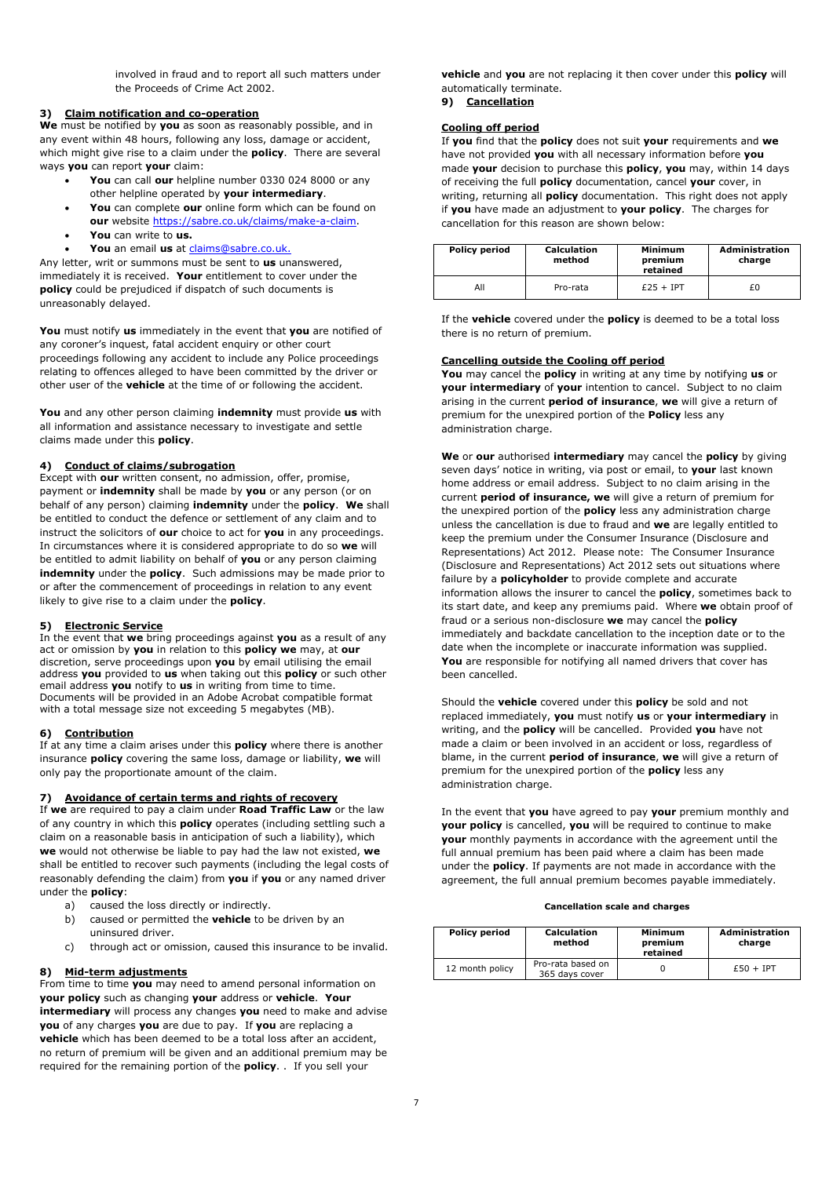involved in fraud and to report all such matters under the Proceeds of Crime Act 2002.

# **3) Claim notification and co-operation**

**We** must be notified by **you** as soon as reasonably possible, and in any event within 48 hours, following any loss, damage or accident, which might give rise to a claim under the **policy**. There are several ways **you** can report **your** claim:

- **You** can call **our** helpline number 0330 024 8000 or any other helpline operated by **your intermediary**.
- **You** can complete **our** online form which can be found on **our** website https://sabre.co.uk/claims/make-a-claim.
- **You** can write to **us.**
- **You** an email **us** at claims@sabre.co.uk.

Any letter, writ or summons must be sent to **us** unanswered, immediately it is received. **Your** entitlement to cover under the **policy** could be prejudiced if dispatch of such documents is unreasonably delayed.

**You** must notify **us** immediately in the event that **you** are notified of any coroner's inquest, fatal accident enquiry or other court proceedings following any accident to include any Police proceedings relating to offences alleged to have been committed by the driver or other user of the **vehicle** at the time of or following the accident.

**You** and any other person claiming **indemnity** must provide **us** with all information and assistance necessary to investigate and settle claims made under this **policy**.

### **4) Conduct of claims/subrogation**

Except with **our** written consent, no admission, offer, promise, payment or **indemnity** shall be made by **you** or any person (or on behalf of any person) claiming **indemnity** under the **policy**. **We** shall be entitled to conduct the defence or settlement of any claim and to instruct the solicitors of **our** choice to act for **you** in any proceedings. In circumstances where it is considered appropriate to do so **we** will be entitled to admit liability on behalf of **you** or any person claiming **indemnity** under the **policy**. Such admissions may be made prior to or after the commencement of proceedings in relation to any event likely to give rise to a claim under the **policy**.

### **5) Electronic Service**

In the event that **we** bring proceedings against **you** as a result of any act or omission by **you** in relation to this **policy we** may, at **our** discretion, serve proceedings upon **you** by email utilising the email address **you** provided to **us** when taking out this **policy** or such other email address **you** notify to **us** in writing from time to time. Documents will be provided in an Adobe Acrobat compatible format with a total message size not exceeding 5 megabytes (MB).

### **6) Contribution**

If at any time a claim arises under this **policy** where there is another insurance **policy** covering the same loss, damage or liability, **we** will only pay the proportionate amount of the claim.

# **7) Avoidance of certain terms and rights of recovery**

If **we** are required to pay a claim under **Road Traffic Law** or the law of any country in which this **policy** operates (including settling such a claim on a reasonable basis in anticipation of such a liability), which **we** would not otherwise be liable to pay had the law not existed, **we** shall be entitled to recover such payments (including the legal costs of reasonably defending the claim) from **you** if **you** or any named driver under the **policy**:

- a) caused the loss directly or indirectly.
- b) caused or permitted the **vehicle** to be driven by an uninsured driver.
- c) through act or omission, caused this insurance to be invalid.

### **8) Mid-term adjustments**

From time to time **you** may need to amend personal information on **your policy** such as changing **your** address or **vehicle**. **Your intermediary** will process any changes **you** need to make and advise **you** of any charges **you** are due to pay. If **you** are replacing a **vehicle** which has been deemed to be a total loss after an accident, no return of premium will be given and an additional premium may be required for the remaining portion of the **policy**. . If you sell your

**vehicle** and **you** are not replacing it then cover under this **policy** will automatically terminate.

**9) Cancellation** 

# **Cooling off period**

If **you** find that the **policy** does not suit **your** requirements and **we** have not provided **you** with all necessary information before **you** made **your** decision to purchase this **policy**, **you** may, within 14 days of receiving the full **policy** documentation, cancel **your** cover, in writing, returning all **policy** documentation. This right does not apply if **you** have made an adjustment to **your policy**. The charges for cancellation for this reason are shown below:

| <b>Policy period</b> | <b>Calculation</b><br>method | <b>Minimum</b><br>premium<br>retained | <b>Administration</b><br>charge |
|----------------------|------------------------------|---------------------------------------|---------------------------------|
| All                  | Pro-rata                     | $£25 + IPT$                           | £0.                             |

If the **vehicle** covered under the **policy** is deemed to be a total loss there is no return of premium.

### **Cancelling outside the Cooling off period**

**You** may cancel the **policy** in writing at any time by notifying **us** or **your intermediary** of **your** intention to cancel. Subject to no claim arising in the current **period of insurance**, **we** will give a return of premium for the unexpired portion of the **Policy** less any administration charge.

**We** or **our** authorised **intermediary** may cancel the **policy** by giving seven days' notice in writing, via post or email, to **your** last known home address or email address. Subject to no claim arising in the current **period of insurance, we** will give a return of premium for the unexpired portion of the **policy** less any administration charge unless the cancellation is due to fraud and **we** are legally entitled to keep the premium under the Consumer Insurance (Disclosure and Representations) Act 2012. Please note: The Consumer Insurance (Disclosure and Representations) Act 2012 sets out situations where failure by a **policyholder** to provide complete and accurate information allows the insurer to cancel the **policy**, sometimes back to its start date, and keep any premiums paid. Where **we** obtain proof of fraud or a serious non-disclosure **we** may cancel the **policy** immediately and backdate cancellation to the inception date or to the date when the incomplete or inaccurate information was supplied. **You** are responsible for notifying all named drivers that cover has been cancelled.

Should the **vehicle** covered under this **policy** be sold and not replaced immediately, **you** must notify **us** or **your intermediary** in writing, and the **policy** will be cancelled. Provided **you** have not made a claim or been involved in an accident or loss, regardless of blame, in the current **period of insurance**, **we** will give a return of premium for the unexpired portion of the **policy** less any administration charge.

In the event that **you** have agreed to pay **your** premium monthly and **your policy** is cancelled, **you** will be required to continue to make **your** monthly payments in accordance with the agreement until the full annual premium has been paid where a claim has been made under the **policy**. If payments are not made in accordance with the agreement, the full annual premium becomes payable immediately.

#### **Cancellation scale and charges**

| <b>Policy period</b> | <b>Calculation</b><br>method        | Minimum<br>premium<br>retained | <b>Administration</b><br>charge |
|----------------------|-------------------------------------|--------------------------------|---------------------------------|
| 12 month policy      | Pro-rata based on<br>365 days cover |                                | $£50 + IPT$                     |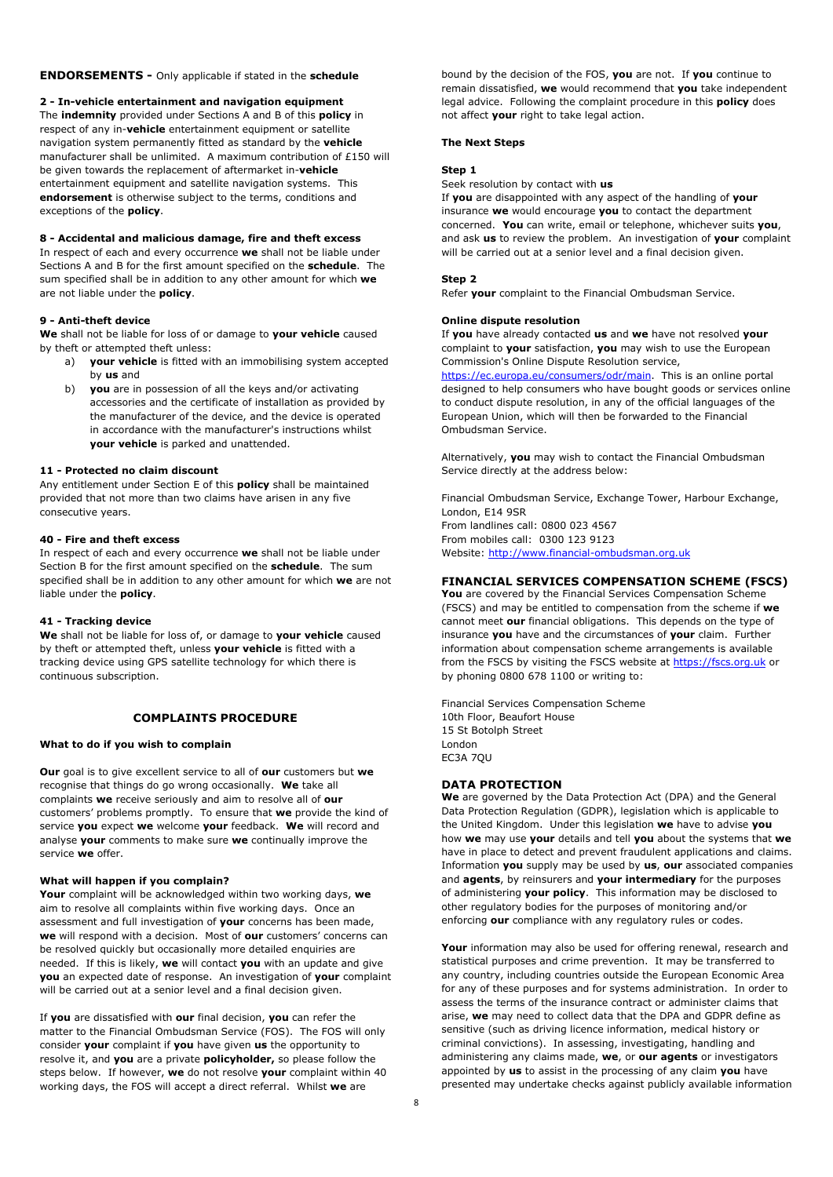#### **ENDORSEMENTS -** Only applicable if stated in the **schedule**

#### **2 - In-vehicle entertainment and navigation equipment**

The **indemnity** provided under Sections A and B of this **policy** in respect of any in-**vehicle** entertainment equipment or satellite navigation system permanently fitted as standard by the **vehicle** manufacturer shall be unlimited. A maximum contribution of £150 will be given towards the replacement of aftermarket in-**vehicle** entertainment equipment and satellite navigation systems. This **endorsement** is otherwise subject to the terms, conditions and exceptions of the **policy**.

### **8 - Accidental and malicious damage, fire and theft excess**

In respect of each and every occurrence **we** shall not be liable under Sections A and B for the first amount specified on the **schedule**. The sum specified shall be in addition to any other amount for which **we** are not liable under the **policy**.

### **9 - Anti-theft device**

**We** shall not be liable for loss of or damage to **your vehicle** caused by theft or attempted theft unless:

- a) **your vehicle** is fitted with an immobilising system accepted by **us** and
- b) **you** are in possession of all the keys and/or activating accessories and the certificate of installation as provided by the manufacturer of the device, and the device is operated in accordance with the manufacturer's instructions whilst **your vehicle** is parked and unattended.

#### **11 - Protected no claim discount**

Any entitlement under Section E of this **policy** shall be maintained provided that not more than two claims have arisen in any five consecutive years.

#### **40 - Fire and theft excess**

In respect of each and every occurrence **we** shall not be liable under Section B for the first amount specified on the **schedule**. The sum specified shall be in addition to any other amount for which **we** are not liable under the **policy**.

#### **41 - Tracking device**

**We** shall not be liable for loss of, or damage to **your vehicle** caused by theft or attempted theft, unless **your vehicle** is fitted with a tracking device using GPS satellite technology for which there is continuous subscription.

### **COMPLAINTS PROCEDURE**

### **What to do if you wish to complain**

**Our** goal is to give excellent service to all of **our** customers but **we** recognise that things do go wrong occasionally. **We** take all complaints **we** receive seriously and aim to resolve all of **our** customers' problems promptly. To ensure that **we** provide the kind of service **you** expect **we** welcome **your** feedback. **We** will record and analyse **your** comments to make sure **we** continually improve the service **we** offer.

#### **What will happen if you complain?**

**Your** complaint will be acknowledged within two working days, **we** aim to resolve all complaints within five working days. Once an assessment and full investigation of **your** concerns has been made, **we** will respond with a decision. Most of **our** customers' concerns can be resolved quickly but occasionally more detailed enquiries are needed. If this is likely, **we** will contact **you** with an update and give **you** an expected date of response. An investigation of **your** complaint will be carried out at a senior level and a final decision given.

If **you** are dissatisfied with **our** final decision, **you** can refer the matter to the Financial Ombudsman Service (FOS). The FOS will only consider **your** complaint if **you** have given **us** the opportunity to resolve it, and **you** are a private **policyholder,** so please follow the steps below. If however, **we** do not resolve **your** complaint within 40 working days, the FOS will accept a direct referral. Whilst **we** are

bound by the decision of the FOS, **you** are not. If **you** continue to remain dissatisfied, **we** would recommend that **you** take independent legal advice. Following the complaint procedure in this **policy** does not affect **your** right to take legal action.

#### **The Next Steps**

### **Step 1**

Seek resolution by contact with **us**

If **you** are disappointed with any aspect of the handling of **your** insurance **we** would encourage **you** to contact the department concerned. **You** can write, email or telephone, whichever suits **you**, and ask **us** to review the problem. An investigation of **your** complaint will be carried out at a senior level and a final decision given.

#### **Step 2**

Refer **your** complaint to the Financial Ombudsman Service.

#### **Online dispute resolution**

If **you** have already contacted **us** and **we** have not resolved **your** complaint to **your** satisfaction, **you** may wish to use the European Commission's Online Dispute Resolution service,

https://ec.europa.eu/consumers/odr/main. This is an online portal designed to help consumers who have bought goods or services online to conduct dispute resolution, in any of the official languages of the European Union, which will then be forwarded to the Financial Ombudsman Service.

Alternatively, **you** may wish to contact the Financial Ombudsman Service directly at the address below:

Financial Ombudsman Service, Exchange Tower, Harbour Exchange, London, E14 9SR From landlines call: 0800 023 4567 From mobiles call: 0300 123 9123

Website: http://www.financial-ombudsman.org.uk

### **FINANCIAL SERVICES COMPENSATION SCHEME (FSCS)**

**You** are covered by the Financial Services Compensation Scheme (FSCS) and may be entitled to compensation from the scheme if **we** cannot meet **our** financial obligations. This depends on the type of insurance **you** have and the circumstances of **your** claim. Further information about compensation scheme arrangements is available from the FSCS by visiting the FSCS website at https://fscs.org.uk or by phoning 0800 678 1100 or writing to:

Financial Services Compensation Scheme 10th Floor, Beaufort House 15 St Botolph Street London EC3A 7QU

#### **DATA PROTECTION**

**We** are governed by the Data Protection Act (DPA) and the General Data Protection Regulation (GDPR), legislation which is applicable to the United Kingdom. Under this legislation **we** have to advise **you** how **we** may use **your** details and tell **you** about the systems that **we** have in place to detect and prevent fraudulent applications and claims. Information **you** supply may be used by **us**, **our** associated companies and **agents**, by reinsurers and **your intermediary** for the purposes of administering **your policy**. This information may be disclosed to other regulatory bodies for the purposes of monitoring and/or enforcing **our** compliance with any regulatory rules or codes.

**Your** information may also be used for offering renewal, research and statistical purposes and crime prevention. It may be transferred to any country, including countries outside the European Economic Area for any of these purposes and for systems administration. In order to assess the terms of the insurance contract or administer claims that arise, **we** may need to collect data that the DPA and GDPR define as sensitive (such as driving licence information, medical history or criminal convictions). In assessing, investigating, handling and administering any claims made, **we**, or **our agents** or investigators appointed by **us** to assist in the processing of any claim **you** have presented may undertake checks against publicly available information